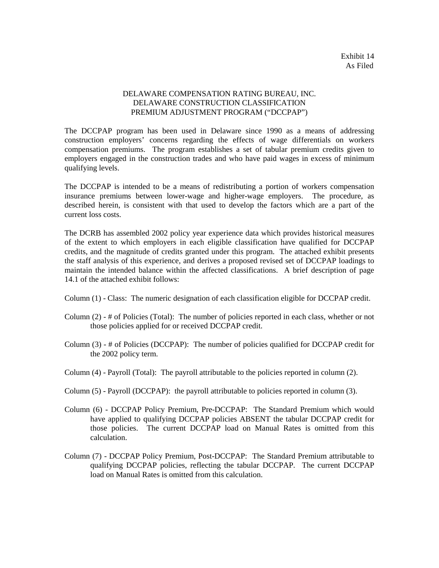## DELAWARE COMPENSATION RATING BUREAU, INC. DELAWARE CONSTRUCTION CLASSIFICATION PREMIUM ADJUSTMENT PROGRAM ("DCCPAP")

The DCCPAP program has been used in Delaware since 1990 as a means of addressing construction employers' concerns regarding the effects of wage differentials on workers compensation premiums. The program establishes a set of tabular premium credits given to employers engaged in the construction trades and who have paid wages in excess of minimum qualifying levels.

The DCCPAP is intended to be a means of redistributing a portion of workers compensation insurance premiums between lower-wage and higher-wage employers. The procedure, as described herein, is consistent with that used to develop the factors which are a part of the current loss costs.

The DCRB has assembled 2002 policy year experience data which provides historical measures of the extent to which employers in each eligible classification have qualified for DCCPAP credits, and the magnitude of credits granted under this program. The attached exhibit presents the staff analysis of this experience, and derives a proposed revised set of DCCPAP loadings to maintain the intended balance within the affected classifications. A brief description of page 14.1 of the attached exhibit follows:

Column (1) - Class: The numeric designation of each classification eligible for DCCPAP credit.

- Column (2) # of Policies (Total): The number of policies reported in each class, whether or not those policies applied for or received DCCPAP credit.
- Column (3) # of Policies (DCCPAP): The number of policies qualified for DCCPAP credit for the 2002 policy term.
- Column (4) Payroll (Total): The payroll attributable to the policies reported in column (2).
- Column (5) Payroll (DCCPAP): the payroll attributable to policies reported in column (3).
- Column (6) DCCPAP Policy Premium, Pre-DCCPAP: The Standard Premium which would have applied to qualifying DCCPAP policies ABSENT the tabular DCCPAP credit for those policies. The current DCCPAP load on Manual Rates is omitted from this calculation.
- Column (7) DCCPAP Policy Premium, Post-DCCPAP: The Standard Premium attributable to qualifying DCCPAP policies, reflecting the tabular DCCPAP. The current DCCPAP load on Manual Rates is omitted from this calculation.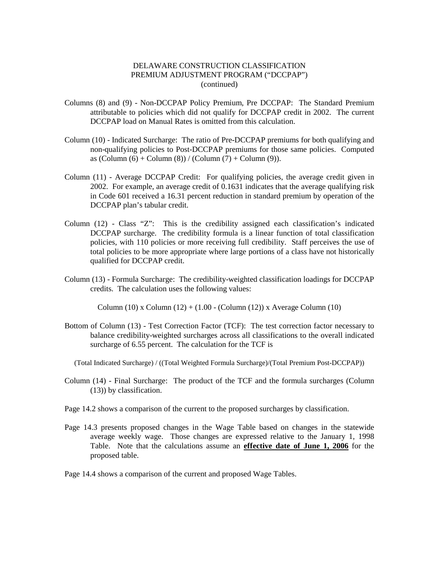### DELAWARE CONSTRUCTION CLASSIFICATION PREMIUM ADJUSTMENT PROGRAM ("DCCPAP") (continued)

- Columns (8) and (9) Non-DCCPAP Policy Premium, Pre DCCPAP: The Standard Premium attributable to policies which did not qualify for DCCPAP credit in 2002. The current DCCPAP load on Manual Rates is omitted from this calculation.
- Column (10) Indicated Surcharge: The ratio of Pre-DCCPAP premiums for both qualifying and non-qualifying policies to Post-DCCPAP premiums for those same policies. Computed as  $(Column (6) + Column (8)) / (Column (7) + Column (9)).$
- Column (11) Average DCCPAP Credit: For qualifying policies, the average credit given in 2002. For example, an average credit of 0.1631 indicates that the average qualifying risk in Code 601 received a 16.31 percent reduction in standard premium by operation of the DCCPAP plan's tabular credit.
- Column (12) Class "Z": This is the credibility assigned each classification's indicated DCCPAP surcharge. The credibility formula is a linear function of total classification policies, with 110 policies or more receiving full credibility. Staff perceives the use of total policies to be more appropriate where large portions of a class have not historically qualified for DCCPAP credit.
- Column (13) Formula Surcharge: The credibility-weighted classification loadings for DCCPAP credits. The calculation uses the following values:

Column (10) x Column (12) + (1.00 - (Column (12)) x Average Column (10)

Bottom of Column (13) - Test Correction Factor (TCF): The test correction factor necessary to balance credibility-weighted surcharges across all classifications to the overall indicated surcharge of 6.55 percent. The calculation for the TCF is

(Total Indicated Surcharge) / ((Total Weighted Formula Surcharge)/(Total Premium Post-DCCPAP))

- Column (14) Final Surcharge: The product of the TCF and the formula surcharges (Column (13)) by classification.
- Page 14.2 shows a comparison of the current to the proposed surcharges by classification.
- Page 14.3 presents proposed changes in the Wage Table based on changes in the statewide average weekly wage. Those changes are expressed relative to the January 1, 1998 Table. Note that the calculations assume an **effective date of June 1, 2006** for the proposed table.

Page 14.4 shows a comparison of the current and proposed Wage Tables.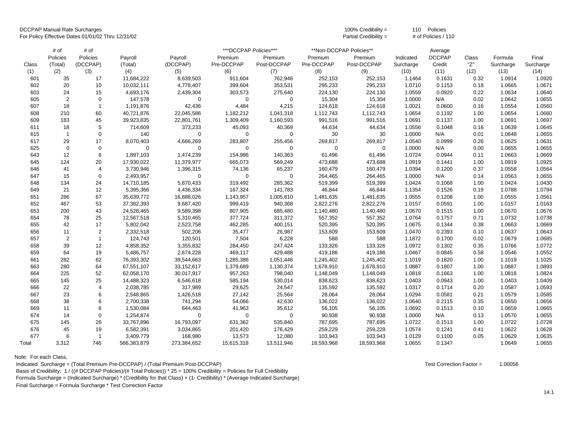DCCPAP Manual Rate Surcharges 100% Credibility = 110 Policies

For Policy Effective Dates 01/01/02 Thru 12/31/02 **Partial Credibility = # of Policies / 110** Partial Credibility = # of Policies / 110

|       | # of           | # of           |             |             | ***DCCPAP Policies*** |             |            | **Non-DCCPAP Policies** |           | Average       |       |           |           |
|-------|----------------|----------------|-------------|-------------|-----------------------|-------------|------------|-------------------------|-----------|---------------|-------|-----------|-----------|
|       | Policies       | Policies       | Payroll     | Payroll     | Premium               | Premium     | Premium    | Premium                 | Indicated | <b>DCCPAP</b> | Class | Formula   | Final     |
| Class | (Total)        | (DCCPAP)       | (Total)     | (DCCPAP)    | Pre-DCCPAP            | Post-DCCPAP | Pre-DCCPAP | Post-DCCPAP             | Surcharge | Credit        | "Z"   | Surcharge | Surcharge |
| (1)   | (2)            | (3)            | (4)         | (5)         | (6)                   | (7)         | (8)        | (9)                     | (10)      | (11)          | (12)  | (13)      | (14)      |
| 601   | 35             | 17             | 11,684,222  | 8,639,503   | 911,604               | 762,946     | 252,153    | 252,153                 | 1.1464    | 0.1631        | 0.32  | 1.0914    | 1.0920    |
| 602   | 20             | 10             | 10,032,111  | 4,778,407   | 399,604               | 353,531     | 295,233    | 295,233                 | 1.0710    | 0.1153        | 0.18  | 1.0665    | 1.0671    |
| 603   | 24             | 15             | 4,693,176   | 2,439,304   | 303,573               | 275,640     | 224,130    | 224,130                 | 1.0559    | 0.0920        | 0.22  | 1.0634    | 1.0640    |
| 605   | 2              | $\mathbf 0$    | 147,578     | $\mathbf 0$ | $\mathbf 0$           | $\mathbf 0$ | 15,304     | 15,304                  | 1.0000    | N/A           | 0.02  | 1.0642    | 1.0655    |
| 607   | 18             | $\mathbf{1}$   | 1,191,876   | 42,436      | 4,484                 | 4,215       | 124,618    | 124,618                 | 1.0021    | 0.0600        | 0.16  | 1.0554    | 1.0560    |
| 608   | 210            | 60             | 40,721,876  | 22,045,586  | 1,182,212             | 1,041,318   | 1,112,743  | 1,112,743               | 1.0654    | 0.1192        | 1.00  | 1.0654    | 1.0660    |
| 609   | 183            | 45             | 39,923,835  | 22,801,761  | 1,309,409             | 1,160,593   | 991,516    | 991,516                 | 1.0691    | 0.1137        | 1.00  | 1.0691    | 1.0697    |
| 611   | 18             | 5              | 714,609     | 373,233     | 45,093                | 40,369      | 44,634     | 44,634                  | 1.0556    | 0.1048        | 0.16  | 1.0639    | 1.0645    |
| 615   | $\overline{1}$ | $\mathbf 0$    | 140         | $\mathbf 0$ | $\mathbf 0$           | $\mathbf 0$ | 30         | 30                      | 1.0000    | N/A           | 0.01  | 1.0648    | 1.0655    |
| 617   | 29             | 17             | 8,070,403   | 4,666,269   | 283,807               | 255,456     | 269,817    | 269,817                 | 1.0540    | 0.0999        | 0.26  | 1.0625    | 1.0631    |
| 625   | $\mathbf 0$    | $\mathbf 0$    | $\mathbf 0$ | 0           | 0                     | 0           | 0          | $\mathbf 0$             | 1.0000    | N/A           | 0.00  | 1.0655    | 1.0655    |
| 643   | 12             | $\,6\,$        | 1,897,103   | 1,474,239   | 154,986               | 140,363     | 61,496     | 61,496                  | 1.0724    | 0.0944        | 0.11  | 1.0663    | 1.0669    |
| 645   | 124            | 20             | 17,930,022  | 11,379,977  | 665,073               | 569,249     | 473,688    | 473,688                 | 1.0919    | 0.1441        | 1.00  | 1.0919    | 1.0925    |
| 646   | 41             | $\overline{4}$ | 3,730,946   | 1,396,315   | 74,136                | 65,237      | 160,479    | 160,479                 | 1.0394    | 0.1200        | 0.37  | 1.0558    | 1.0564    |
| 647   | 15             | $\mathbf 0$    | 2,493,957   | $\mathbf 0$ | $\mathbf 0$           | $\mathbf 0$ | 264,465    | 264,465                 | 1.0000    | N/A           | 0.14  | 1.0563    | 1.0655    |
| 648   | 134            | 24             | 14,710,185  | 5,870,433   | 319,492               | 285,362     | 519,399    | 519,399                 | 1.0424    | 0.1068        | 1.00  | 1.0424    | 1.0430    |
| 649   | 21             | 12             | 5,395,366   | 4,436,334   | 167,324               | 141,783     | 46,844     | 46,844                  | 1.1354    | 0.1526        | 0.19  | 1.0788    | 1.0794    |
| 651   | 286            | 67             | 35,639,772  | 16,888,026  | 1,143,957             | 1,005,810   | 1,481,635  | 1,481,635               | 1.0555    | 0.1208        | 1.00  | 1.0555    | 1.0561    |
| 652   | 467            | 53             | 37,382,393  | 9,687,420   | 999,419               | 940,368     | 2,822,276  | 2,822,276               | 1.0157    | 0.0591        | 1.00  | 1.0157    | 1.0163    |
| 653   | 200            | 43             | 24,528,465  | 9,589,398   | 807,905               | 685,480     | 1,140,480  | 1,140,480               | 1.0670    | 0.1515        | 1.00  | 1.0670    | 1.0676    |
| 654   | 78             | 25             | 12,567,518  | 5,310,465   | 377,724               | 311,372     | 557,352    | 557,352                 | 1.0764    | 0.1757        | 0.71  | 1.0732    | 1.0738    |
| 655   | 42             | 17             | 5,802,042   | 2,523,758   | 462,285               | 400,151     | 520,395    | 520,395                 | 1.0675    | 0.1344        | 0.38  | 1.0663    | 1.0669    |
| 656   | 11             | 2              | 2,332,518   | 502,206     | 35,477                | 26,987      | 153,609    | 153,609                 | 1.0470    | 0.2393        | 0.10  | 1.0637    | 1.0643    |
| 657   | $\mathbf 2$    | $\overline{1}$ | 124,743     | 120,501     | 7,504                 | 6,228       | 588        | 588                     | 1.1872    | 0.1700        | 0.02  | 1.0679    | 1.0685    |
| 658   | 39             | 12             | 4,858,352   | 3,355,832   | 284,450               | 247,424     | 133,326    | 133,326                 | 1.0972    | 0.1302        | 0.35  | 1.0766    | 1.0772    |
| 659   | 64             | 19             | 5,486,757   | 2,674,228   | 469,117               | 429,488     | 419,186    | 419,186                 | 1.0467    | 0.0845        | 0.58  | 1.0546    | 1.0552    |
| 661   | 282            | 62             | 76,393,302  | 39,544,663  | 1,285,386             | 1,051,446   | 1,245,402  | 1,245,402               | 1.1019    | 0.1820        | 1.00  | 1.1019    | 1.1025    |
| 663   | 280            | 64             | 67,551,107  | 33,152,617  | 1,379,689             | 1,130,374   | 1,678,910  | 1,678,910               | 1.0887    | 0.1807        | 1.00  | 1.0887    | 1.0893    |
| 664   | 225            | 52             | 62,058,170  | 30,017,917  | 957,263               | 798,040     | 1,148,049  | 1,148,049               | 1.0818    | 0.1663        | 1.00  | 1.0818    | 1.0824    |
| 665   | 145            | 25             | 14,488,323  | 6,546,618   | 585,194               | 530,014     | 838,623    | 838,623                 | 1.0403    | 0.0943        | 1.00  | 1.0403    | 1.0409    |
| 666   | 22             | $\overline{4}$ | 2,038,785   | 317,989     | 29,625                | 24,547      | 135,592    | 135,592                 | 1.0317    | 0.1714        | 0.20  | 1.0587    | 1.0593    |
| 667   | 23             | 6              | 2,548,865   | 1,426,518   | 27,142                | 25,564      | 28,064     | 28,064                  | 1.0294    | 0.0581        | 0.21  | 1.0579    | 1.0585    |
| 668   | 38             | 6              | 2,700,338   | 741,294     | 54,066                | 42,630      | 136,022    | 136,022                 | 1.0640    | 0.2115        | 0.35  | 1.0650    | 1.0656    |
| 669   | 11             | 6              | 1,530,084   | 644,463     | 41,963                | 35,612      | 56,105     | 56,105                  | 1.0692    | 0.1513        | 0.10  | 1.0659    | 1.0665    |
| 674   | 14             | $\mathbf 0$    | 1,254,874   | $\mathbf 0$ | $\mathbf 0$           | $\mathbf 0$ | 90,938     | 90,938                  | 1.0000    | N/A           | 0.13  | 1.0570    | 1.0655    |
| 675   | 145            | 26             | 33,767,896  | 16,793,097  | 631,362               | 535,840     | 787,695    | 787,695                 | 1.0722    | 0.1513        | 1.00  | 1.0722    | 1.0728    |
| 676   | 45             | 19             | 6,582,391   | 3,034,865   | 201,420               | 176,429     | 259,229    | 259,229                 | 1.0574    | 0.1241        | 0.41  | 1.0622    | 1.0628    |
| 677   | 6              | $\mathbf{1}$   | 3,409,779   | 168,980     | 13,573                | 12,080      | 103,943    | 103,943                 | 1.0129    | 0.1100        | 0.05  | 1.0629    | 1.0635    |
| Total | 3,312          | 746            | 566,383,879 | 273,384,652 | 15,615,318            | 13,511,946  | 18,593,968 | 18,593,968              | 1.0655    | 0.1347        |       | 1.0649    | 1.0655    |

Note: For each Class,

Indicated Surcharge = (Total Premium Pre-DCCPAP) / (Total Premium Post-DCCPAP) Test Correction Factor = 1.00056

Basis of Credibility: 1 / ((# DCCPAP Policies)/(# Total Policies)) \* 25 = 100% Credibility = Policies for Full Credibility

Formula Surcharge = (Indicated Surcharge) \* (Credibility for that Class) + (1- Credibility) \* (Average Indicated Surcharge)

Final Surcharge = Formula Surcharge \* Test Correction Factor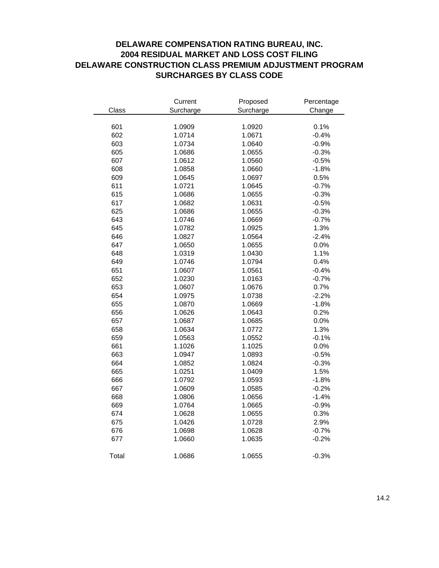# **DELAWARE COMPENSATION RATING BUREAU, INC. 2004 RESIDUAL MARKET AND LOSS COST FILING DELAWARE CONSTRUCTION CLASS PREMIUM ADJUSTMENT PROGRAM SURCHARGES BY CLASS CODE**

|       | Current   | Proposed  | Percentage |  |  |
|-------|-----------|-----------|------------|--|--|
| Class | Surcharge | Surcharge | Change     |  |  |
|       |           |           |            |  |  |
| 601   | 1.0909    | 1.0920    | 0.1%       |  |  |
| 602   | 1.0714    | 1.0671    | $-0.4%$    |  |  |
| 603   | 1.0734    | 1.0640    | $-0.9%$    |  |  |
| 605   | 1.0686    | 1.0655    | $-0.3%$    |  |  |
| 607   | 1.0612    | 1.0560    | $-0.5%$    |  |  |
| 608   | 1.0858    | 1.0660    | $-1.8%$    |  |  |
| 609   | 1.0645    | 1.0697    | 0.5%       |  |  |
| 611   | 1.0721    | 1.0645    | $-0.7%$    |  |  |
| 615   | 1.0686    | 1.0655    | $-0.3%$    |  |  |
| 617   | 1.0682    | 1.0631    | $-0.5%$    |  |  |
| 625   | 1.0686    | 1.0655    | $-0.3%$    |  |  |
| 643   | 1.0746    | 1.0669    | $-0.7%$    |  |  |
| 645   | 1.0782    | 1.0925    | 1.3%       |  |  |
| 646   | 1.0827    | 1.0564    | $-2.4%$    |  |  |
| 647   | 1.0650    | 1.0655    | 0.0%       |  |  |
| 648   | 1.0319    | 1.0430    | 1.1%       |  |  |
| 649   | 1.0746    | 1.0794    | 0.4%       |  |  |
| 651   | 1.0607    | 1.0561    | $-0.4%$    |  |  |
| 652   | 1.0230    | 1.0163    | $-0.7%$    |  |  |
| 653   | 1.0607    | 1.0676    | 0.7%       |  |  |
| 654   | 1.0975    | 1.0738    | $-2.2%$    |  |  |
| 655   | 1.0870    | 1.0669    | $-1.8%$    |  |  |
| 656   | 1.0626    | 1.0643    | 0.2%       |  |  |
| 657   | 1.0687    | 1.0685    | 0.0%       |  |  |
| 658   | 1.0634    | 1.0772    | 1.3%       |  |  |
| 659   | 1.0563    | 1.0552    | $-0.1%$    |  |  |
| 661   | 1.1026    | 1.1025    | 0.0%       |  |  |
| 663   | 1.0947    | 1.0893    | $-0.5%$    |  |  |
| 664   | 1.0852    | 1.0824    | $-0.3%$    |  |  |
| 665   | 1.0251    | 1.0409    | 1.5%       |  |  |
| 666   | 1.0792    | 1.0593    | $-1.8%$    |  |  |
| 667   | 1.0609    | 1.0585    | $-0.2%$    |  |  |
| 668   | 1.0806    | 1.0656    | $-1.4%$    |  |  |
| 669   | 1.0764    | 1.0665    | $-0.9%$    |  |  |
| 674   | 1.0628    | 1.0655    | 0.3%       |  |  |
| 675   | 1.0426    | 1.0728    | 2.9%       |  |  |
| 676   | 1.0698    | 1.0628    | $-0.7%$    |  |  |
| 677   | 1.0660    | 1.0635    | $-0.2%$    |  |  |
| Total | 1.0686    | 1.0655    | $-0.3%$    |  |  |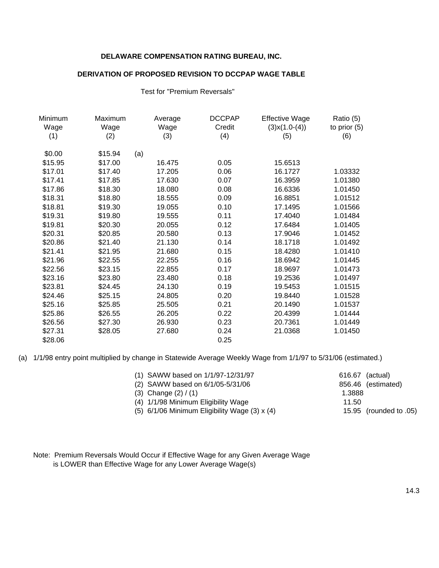## **DELAWARE COMPENSATION RATING BUREAU, INC.**

### **DERIVATION OF PROPOSED REVISION TO DCCPAP WAGE TABLE**

Test for "Premium Reversals"

| Minimum | Maximum | Average | <b>DCCPAP</b> | <b>Effective Wage</b> | Ratio (5)      |
|---------|---------|---------|---------------|-----------------------|----------------|
| Wage    | Wage    | Wage    | Credit        | $(3)$ x $(1.0-(4))$   | to prior $(5)$ |
| (1)     | (2)     | (3)     | (4)           | (5)                   | (6)            |
| \$0.00  | \$15.94 | (a)     |               |                       |                |
| \$15.95 | \$17.00 | 16.475  | 0.05          | 15.6513               |                |
| \$17.01 | \$17.40 | 17.205  | 0.06          | 16.1727               | 1.03332        |
| \$17.41 | \$17.85 | 17.630  | 0.07          | 16.3959               | 1.01380        |
| \$17.86 | \$18.30 | 18.080  | 0.08          | 16.6336               | 1.01450        |
| \$18.31 | \$18.80 | 18.555  | 0.09          | 16.8851               | 1.01512        |
| \$18.81 | \$19.30 | 19.055  | 0.10          | 17.1495               | 1.01566        |
| \$19.31 | \$19.80 | 19.555  | 0.11          | 17.4040               | 1.01484        |
| \$19.81 | \$20.30 | 20.055  | 0.12          | 17.6484               | 1.01405        |
| \$20.31 | \$20.85 | 20.580  | 0.13          | 17.9046               | 1.01452        |
| \$20.86 | \$21.40 | 21.130  | 0.14          | 18.1718               | 1.01492        |
| \$21.41 | \$21.95 | 21.680  | 0.15          | 18.4280               | 1.01410        |
| \$21.96 | \$22.55 | 22.255  | 0.16          | 18.6942               | 1.01445        |
| \$22.56 | \$23.15 | 22.855  | 0.17          | 18.9697               | 1.01473        |
| \$23.16 | \$23.80 | 23.480  | 0.18          | 19.2536               | 1.01497        |
| \$23.81 | \$24.45 | 24.130  | 0.19          | 19.5453               | 1.01515        |
| \$24.46 | \$25.15 | 24.805  | 0.20          | 19.8440               | 1.01528        |
| \$25.16 | \$25.85 | 25.505  | 0.21          | 20.1490               | 1.01537        |
| \$25.86 | \$26.55 | 26.205  | 0.22          | 20.4399               | 1.01444        |
| \$26.56 | \$27.30 | 26.930  | 0.23          | 20.7361               | 1.01449        |
| \$27.31 | \$28.05 | 27.680  | 0.24          | 21.0368               | 1.01450        |
| \$28.06 |         |         | 0.25          |                       |                |

(a) 1/1/98 entry point multiplied by change in Statewide Average Weekly Wage from 1/1/97 to 5/31/06 (estimated.)

| (1) SAWW based on 1/1/97-12/31/97             | 616.67 (actual) |                        |
|-----------------------------------------------|-----------------|------------------------|
| (2) SAWW based on 6/1/05-5/31/06              |                 | 856.46 (estimated)     |
| (3) Change $(2) / (1)$                        | 1.3888          |                        |
| (4) 1/1/98 Minimum Eligibility Wage           | 11.50           |                        |
| (5) 6/1/06 Minimum Eligibility Wage (3) x (4) |                 | 15.95 (rounded to .05) |
|                                               |                 |                        |

Note: Premium Reversals Would Occur if Effective Wage for any Given Average Wage is LOWER than Effective Wage for any Lower Average Wage(s)